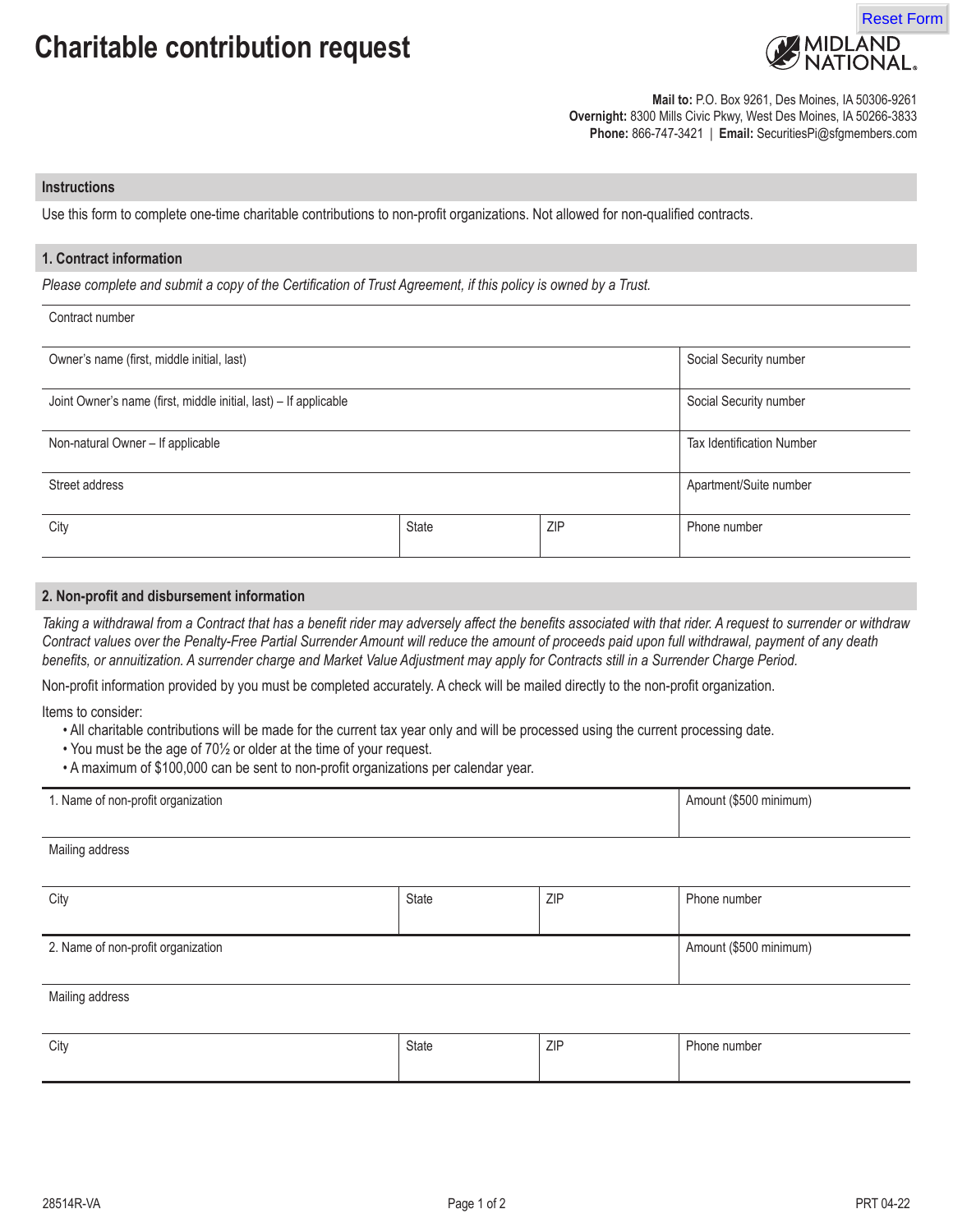

**Mail to:** P.O. Box 9261, Des Moines, IA 50306-9261 **Overnight:** 8300 Mills Civic Pkwy, West Des Moines, IA 50266-3833 **Phone:** 866-747-3421 | **Email:** SecuritiesPi@sfgmembers.com

### **Instructions**

Use this form to complete one-time charitable contributions to non-profit organizations. Not allowed for non-qualified contracts.

## **1. Contract information**

*Please complete and submit a copy of the Certification of Trust Agreement, if this policy is owned by a Trust.*

#### Contract number

| Owner's name (first, middle initial, last)                       |              | Social Security number           |              |
|------------------------------------------------------------------|--------------|----------------------------------|--------------|
| Joint Owner's name (first, middle initial, last) - If applicable |              | Social Security number           |              |
| Non-natural Owner - If applicable                                |              | <b>Tax Identification Number</b> |              |
| Street address                                                   |              | Apartment/Suite number           |              |
| City                                                             | <b>State</b> | <b>ZIP</b>                       | Phone number |

## **2. Non-profit and disbursement information**

*Taking a withdrawal from a Contract that has a benefit rider may adversely affect the benefits associated with that rider. A request to surrender or withdraw Contract values over the Penalty-Free Partial Surrender Amount will reduce the amount of proceeds paid upon full withdrawal, payment of any death benefits, or annuitization. A surrender charge and Market Value Adjustment may apply for Contracts still in a Surrender Charge Period.*

Non-profit information provided by you must be completed accurately. A check will be mailed directly to the non-profit organization.

Items to consider:

Mailing address

- All charitable contributions will be made for the current tax year only and will be processed using the current processing date.
- You must be the age of 70½ or older at the time of your request.
- A maximum of \$100,000 can be sent to non-profit organizations per calendar year.

| 1. Name of non-profit organization | Amount (\$500 minimum) |
|------------------------------------|------------------------|
|                                    |                        |

| City                               | State | ZIP                    | Phone number |
|------------------------------------|-------|------------------------|--------------|
| 2. Name of non-profit organization |       | Amount (\$500 minimum) |              |
| Mailing address                    |       |                        |              |

| City | State | <b>ZIP</b> | -<br>Phone number |
|------|-------|------------|-------------------|
|      |       |            |                   |